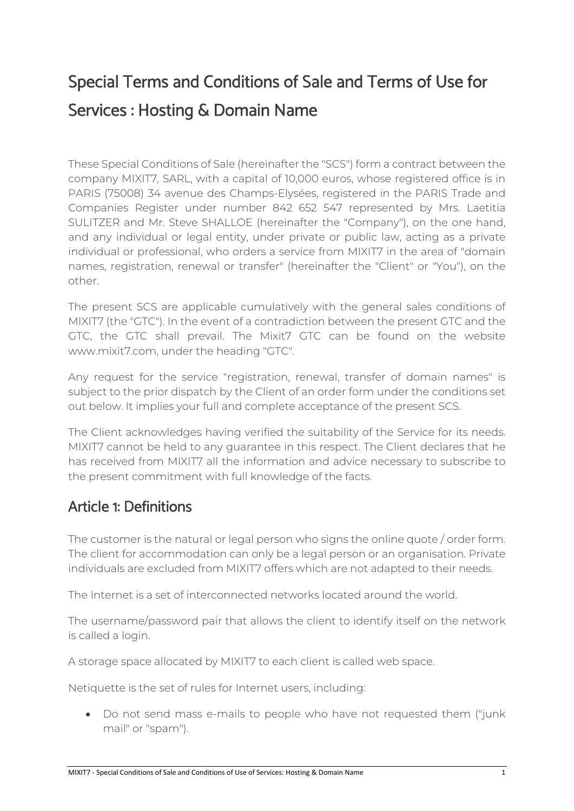# Special Terms and Conditions of Sale and Terms of Use for Services : Hosting & Domain Name

These Special Conditions of Sale (hereinafter the "SCS") form a contract between the company MIXIT7, SARL, with a capital of 10,000 euros, whose registered office is in PARIS (75008) 34 avenue des Champs-Elysées, registered in the PARIS Trade and Companies Register under number 842 652 547 represented by Mrs. Laetitia SULITZER and Mr. Steve SHALLOE (hereinafter the "Company"), on the one hand, and any individual or legal entity, under private or public law, acting as a private individual or professional, who orders a service from MIXIT7 in the area of "domain names, registration, renewal or transfer" (hereinafter the "Client" or "You"), on the other.

The present SCS are applicable cumulatively with the general sales conditions of MIXIT7 (the "GTC"). In the event of a contradiction between the present GTC and the GTC, the GTC shall prevail. The Mixit7 GTC can be found on the website www.mixit7.com, under the heading "GTC".

Any request for the service "registration, renewal, transfer of domain names" is subject to the prior dispatch by the Client of an order form under the conditions set out below. It implies your full and complete acceptance of the present SCS.

The Client acknowledges having verified the suitability of the Service for its needs. MIXIT7 cannot be held to any guarantee in this respect. The Client declares that he has received from MIXIT7 all the information and advice necessary to subscribe to the present commitment with full knowledge of the facts.

# Article 1: Definitions

The customer is the natural or legal person who signs the online quote / order form. The client for accommodation can only be a legal person or an organisation. Private individuals are excluded from MIXIT7 offers which are not adapted to their needs.

The Internet is a set of interconnected networks located around the world.

The username/password pair that allows the client to identify itself on the network is called a login.

A storage space allocated by MIXIT7 to each client is called web space.

Netiquette is the set of rules for Internet users, including:

 Do not send mass e-mails to people who have not requested them ("junk mail" or "spam").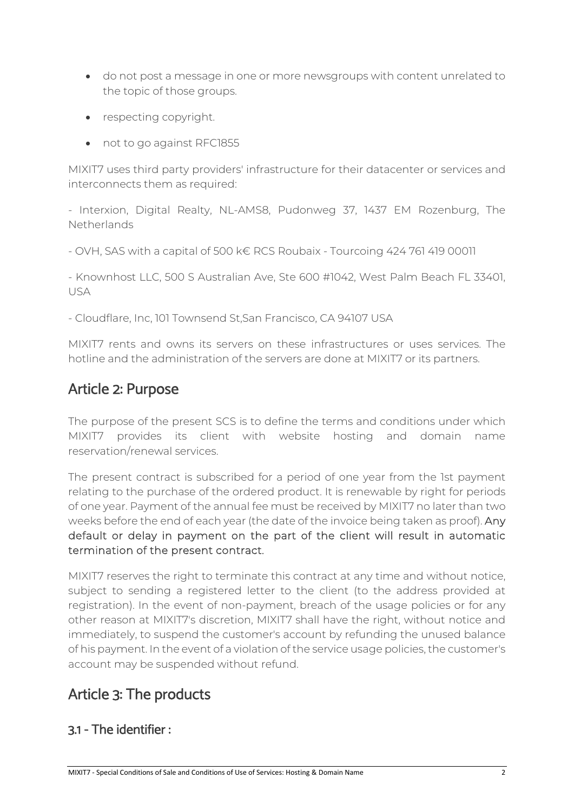- do not post a message in one or more newsgroups with content unrelated to the topic of those groups.
- respecting copyright.
- not to go against RFC1855

MIXIT7 uses third party providers' infrastructure for their datacenter or services and interconnects them as required:

- Interxion, Digital Realty, NL-AMS8, Pudonweg 37, 1437 EM Rozenburg, The Netherlands

- OVH, SAS with a capital of 500 k€ RCS Roubaix - Tourcoing 424 761 419 00011

- Knownhost LLC, 500 S Australian Ave, Ste 600 #1042, West Palm Beach FL 33401, USA

- Cloudflare, Inc, 101 Townsend St,San Francisco, CA 94107 USA

MIXIT7 rents and owns its servers on these infrastructures or uses services. The hotline and the administration of the servers are done at MIXIT7 or its partners.

# Article 2: Purpose

The purpose of the present SCS is to define the terms and conditions under which MIXIT7 provides its client with website hosting and domain name reservation/renewal services.

The present contract is subscribed for a period of one year from the 1st payment relating to the purchase of the ordered product. It is renewable by right for periods of one year. Payment of the annual fee must be received by MIXIT7 no later than two weeks before the end of each year (the date of the invoice being taken as proof). Any default or delay in payment on the part of the client will result in automatic termination of the present contract.

MIXIT7 reserves the right to terminate this contract at any time and without notice, subject to sending a registered letter to the client (to the address provided at registration). In the event of non-payment, breach of the usage policies or for any other reason at MIXIT7's discretion, MIXIT7 shall have the right, without notice and immediately, to suspend the customer's account by refunding the unused balance of his payment. In the event of a violation ofthe service usage policies,the customer's account may be suspended without refund.

# Article 3: The products

#### 3.1 - The identifier :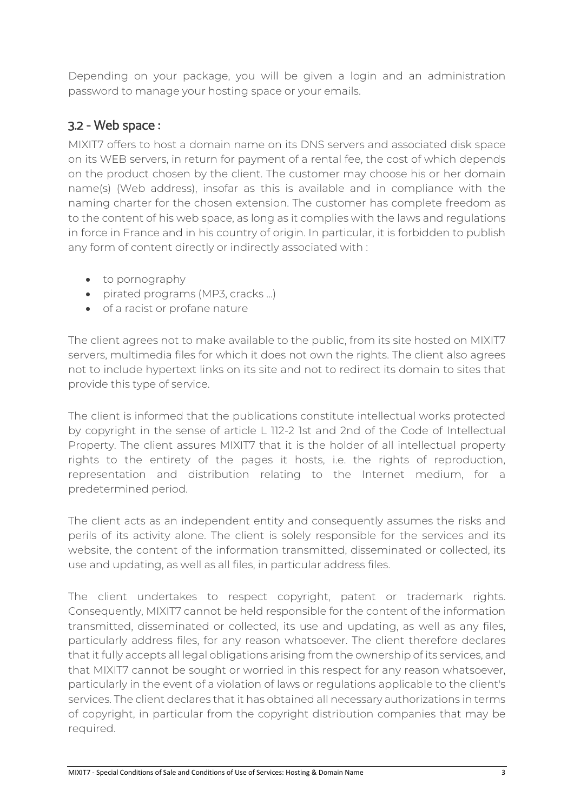Depending on your package, you will be given a login and an administration password to manage your hosting space or your emails.

#### 3.2 - Web space :

MIXIT7 offers to host a domain name on its DNS servers and associated disk space on its WEB servers, in return for payment of a rental fee, the cost of which depends on the product chosen by the client. The customer may choose his or her domain name(s) (Web address), insofar as this is available and in compliance with the naming charter for the chosen extension. The customer has complete freedom as to the content of his web space, as long as it complies with the laws and regulations in force in France and in his country of origin. In particular, it is forbidden to publish any form of content directly or indirectly associated with :

- to pornography
- pirated programs (MP3, cracks ...)
- of a racist or profane nature

The client agrees not to make available to the public, from its site hosted on MIXIT7 servers, multimedia files for which it does not own the rights. The client also agrees not to include hypertext links on its site and not to redirect its domain to sites that provide this type of service.

The client is informed that the publications constitute intellectual works protected by copyright in the sense of article L 112-2 1st and 2nd of the Code of Intellectual Property. The client assures MIXIT7 that it is the holder of all intellectual property rights to the entirety of the pages it hosts, i.e. the rights of reproduction, representation and distribution relating to the Internet medium, for a predetermined period.

The client acts as an independent entity and consequently assumes the risks and perils of its activity alone. The client is solely responsible for the services and its website, the content of the information transmitted, disseminated or collected, its use and updating, as well as all files, in particular address files.

The client undertakes to respect copyright, patent or trademark rights. Consequently, MIXIT7 cannot be held responsible for the content of the information transmitted, disseminated or collected, its use and updating, as well as any files, particularly address files, for any reason whatsoever. The client therefore declares that it fully accepts all legal obligations arising from the ownership of its services, and that MIXIT7 cannot be sought or worried in this respect for any reason whatsoever, particularly in the event of a violation of laws or regulations applicable to the client's services. The client declares that it has obtained all necessary authorizations in terms of copyright, in particular from the copyright distribution companies that may be required.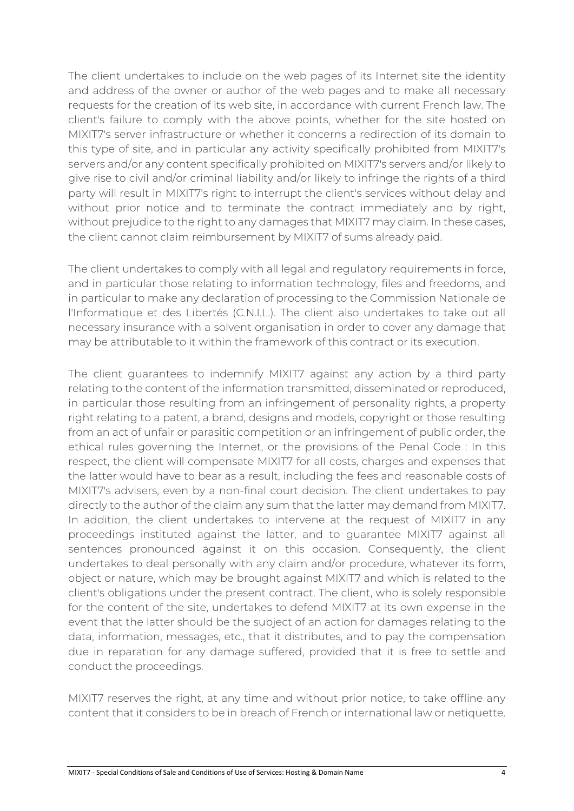The client undertakes to include on the web pages of its Internet site the identity and address of the owner or author of the web pages and to make all necessary requests for the creation of its web site, in accordance with current French law. The client's failure to comply with the above points, whether for the site hosted on MIXIT7's server infrastructure or whether it concerns a redirection of its domain to this type of site, and in particular any activity specifically prohibited from MIXIT7's servers and/or any content specifically prohibited on MIXIT7's servers and/or likely to give rise to civil and/or criminal liability and/or likely to infringe the rights of a third party will result in MIXIT7's right to interrupt the client's services without delay and without prior notice and to terminate the contract immediately and by right, without prejudice to the right to any damages that MIXIT7 may claim. In these cases, the client cannot claim reimbursement by MIXIT7 of sums already paid.

The client undertakes to comply with all legal and regulatory requirements in force, and in particular those relating to information technology, files and freedoms, and in particular to make any declaration of processing to the Commission Nationale de l'Informatique et des Libertés (C.N.I.L.). The client also undertakes to take out all necessary insurance with a solvent organisation in order to cover any damage that may be attributable to it within the framework of this contract or its execution.

The client guarantees to indemnify MIXIT7 against any action by a third party relating to the content of the information transmitted, disseminated or reproduced, in particular those resulting from an infringement of personality rights, a property right relating to a patent, a brand, designs and models, copyright or those resulting from an act of unfair or parasitic competition or an infringement of public order, the ethical rules governing the Internet, or the provisions of the Penal Code : In this respect, the client will compensate MIXIT7 for all costs, charges and expenses that the latter would have to bear as a result, including the fees and reasonable costs of MIXIT7's advisers, even by a non-final court decision. The client undertakes to pay directly to the author of the claim any sum that the latter may demand from MIXIT7. In addition, the client undertakes to intervene at the request of MIXIT7 in any proceedings instituted against the latter, and to guarantee MIXIT7 against all sentences pronounced against it on this occasion. Consequently, the client undertakes to deal personally with any claim and/or procedure, whatever its form, object or nature, which may be brought against MIXIT7 and which is related to the client's obligations under the present contract. The client, who is solely responsible for the content of the site, undertakes to defend MIXIT7 at its own expense in the event that the latter should be the subject of an action for damages relating to the data, information, messages, etc., that it distributes, and to pay the compensation due in reparation for any damage suffered, provided that it is free to settle and conduct the proceedings.

MIXIT7 reserves the right, at any time and without prior notice, to take offline any content that it considers to be in breach of French or international law or netiquette.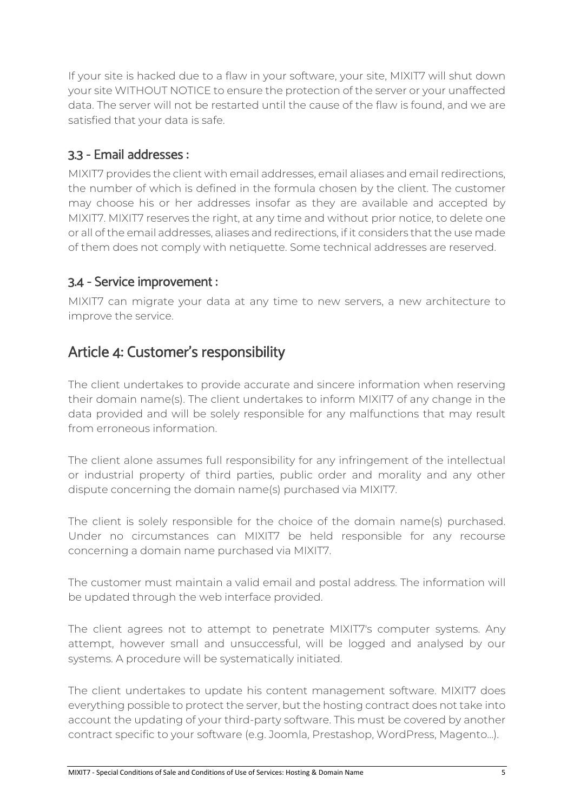If your site is hacked due to a flaw in your software, your site, MIXIT7 will shut down your site WITHOUT NOTICE to ensure the protection of the server or your unaffected data. The server will not be restarted until the cause of the flaw is found, and we are satisfied that your data is safe.

#### 3.3 - Email addresses :

MIXIT7 provides the client with email addresses, email aliases and email redirections, the number of which is defined in the formula chosen by the client. The customer may choose his or her addresses insofar as they are available and accepted by MIXIT7. MIXIT7 reserves the right, at any time and without prior notice, to delete one or all of the email addresses, aliases and redirections, if it considers that the use made of them does not comply with netiquette. Some technical addresses are reserved.

#### 3.4 - Service improvement :

MIXIT7 can migrate your data at any time to new servers, a new architecture to improve the service.

# Article 4: Customer's responsibility

The client undertakes to provide accurate and sincere information when reserving their domain name(s). The client undertakes to inform MIXIT7 of any change in the data provided and will be solely responsible for any malfunctions that may result from erroneous information.

The client alone assumes full responsibility for any infringement of the intellectual or industrial property of third parties, public order and morality and any other dispute concerning the domain name(s) purchased via MIXIT7.

The client is solely responsible for the choice of the domain name(s) purchased. Under no circumstances can MIXIT7 be held responsible for any recourse concerning a domain name purchased via MIXIT7.

The customer must maintain a valid email and postal address. The information will be updated through the web interface provided.

The client agrees not to attempt to penetrate MIXIT7's computer systems. Any attempt, however small and unsuccessful, will be logged and analysed by our systems. A procedure will be systematically initiated.

The client undertakes to update his content management software. MIXIT7 does everything possible to protect the server, but the hosting contract does not take into account the updating of your third-party software. This must be covered by another contract specific to your software (e.g. Joomla, Prestashop, WordPress, Magento...).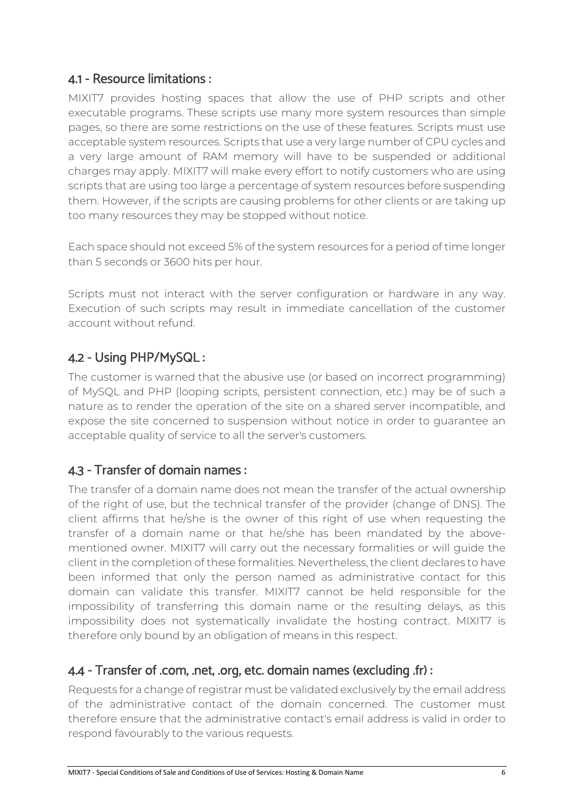#### 4.1 - Resource limitations :

MIXIT7 provides hosting spaces that allow the use of PHP scripts and other executable programs. These scripts use many more system resources than simple pages, so there are some restrictions on the use of these features. Scripts must use acceptable system resources. Scripts that use a very large number of CPU cycles and a very large amount of RAM memory will have to be suspended or additional charges may apply. MIXIT7 will make every effort to notify customers who are using scripts that are using too large a percentage of system resources before suspending them. However, if the scripts are causing problems for other clients or are taking up too many resources they may be stopped without notice.

Each space should not exceed 5% of the system resources for a period of time longer than 5 seconds or 3600 hits per hour.

Scripts must not interact with the server configuration or hardware in any way. Execution of such scripts may result in immediate cancellation of the customer account without refund.

#### 4.2 - Using PHP/MySQL :

The customer is warned that the abusive use (or based on incorrect programming) of MySQL and PHP (looping scripts, persistent connection, etc.) may be of such a nature as to render the operation of the site on a shared server incompatible, and expose the site concerned to suspension without notice in order to guarantee an acceptable quality of service to all the server's customers.

#### 4.3 - Transfer of domain names :

The transfer of a domain name does not mean the transfer of the actual ownership of the right of use, but the technical transfer of the provider (change of DNS). The client affirms that he/she is the owner of this right of use when requesting the transfer of a domain name or that he/she has been mandated by the abovementioned owner. MIXIT7 will carry out the necessary formalities or will guide the client in the completion of these formalities. Nevertheless, the client declares to have been informed that only the person named as administrative contact for this domain can validate this transfer. MIXIT7 cannot be held responsible for the impossibility of transferring this domain name or the resulting delays, as this impossibility does not systematically invalidate the hosting contract. MIXIT7 is therefore only bound by an obligation of means in this respect.

#### 4.4 - Transfer of .com, .net, .org, etc. domain names (excluding .fr) :

Requests for a change of registrar must be validated exclusively by the email address of the administrative contact of the domain concerned. The customer must therefore ensure that the administrative contact's email address is valid in order to respond favourably to the various requests.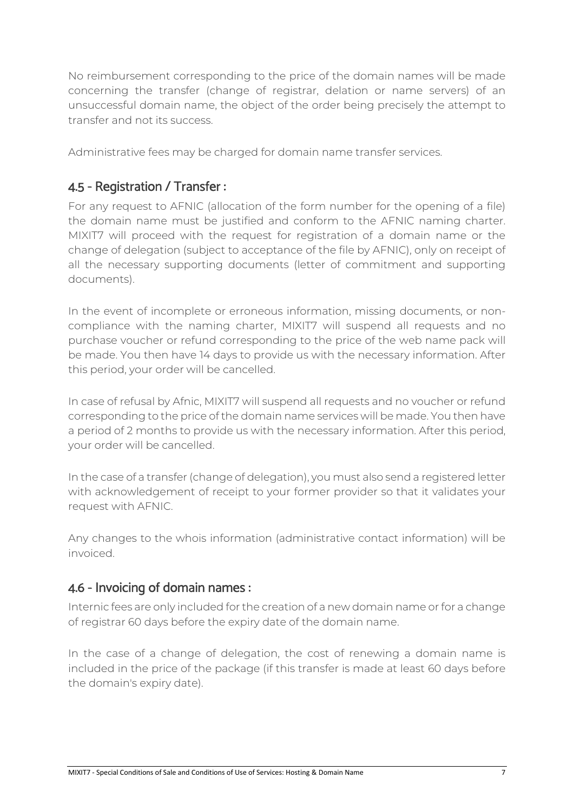No reimbursement corresponding to the price of the domain names will be made concerning the transfer (change of registrar, delation or name servers) of an unsuccessful domain name, the object of the order being precisely the attempt to transfer and not its success.

Administrative fees may be charged for domain name transfer services.

#### 4.5 - Registration / Transfer :

For any request to AFNIC (allocation of the form number for the opening of a file) the domain name must be justified and conform to the AFNIC naming charter. MIXIT7 will proceed with the request for registration of a domain name or the change of delegation (subject to acceptance of the file by AFNIC), only on receipt of all the necessary supporting documents (letter of commitment and supporting documents).

In the event of incomplete or erroneous information, missing documents, or noncompliance with the naming charter, MIXIT7 will suspend all requests and no purchase voucher or refund corresponding to the price of the web name pack will be made. You then have 14 days to provide us with the necessary information. After this period, your order will be cancelled.

In case of refusal by Afnic, MIXIT7 will suspend all requests and no voucher or refund corresponding to the price of the domain name services will be made. You then have a period of 2 months to provide us with the necessary information. After this period, your order will be cancelled.

In the case of a transfer (change of delegation), you must also send a registered letter with acknowledgement of receipt to your former provider so that it validates your request with AFNIC.

Any changes to the whois information (administrative contact information) will be invoiced.

#### 4.6 - Invoicing of domain names :

Internic fees are only included for the creation of a new domain name or for a change of registrar 60 days before the expiry date of the domain name.

In the case of a change of delegation, the cost of renewing a domain name is included in the price of the package (if this transfer is made at least 60 days before the domain's expiry date).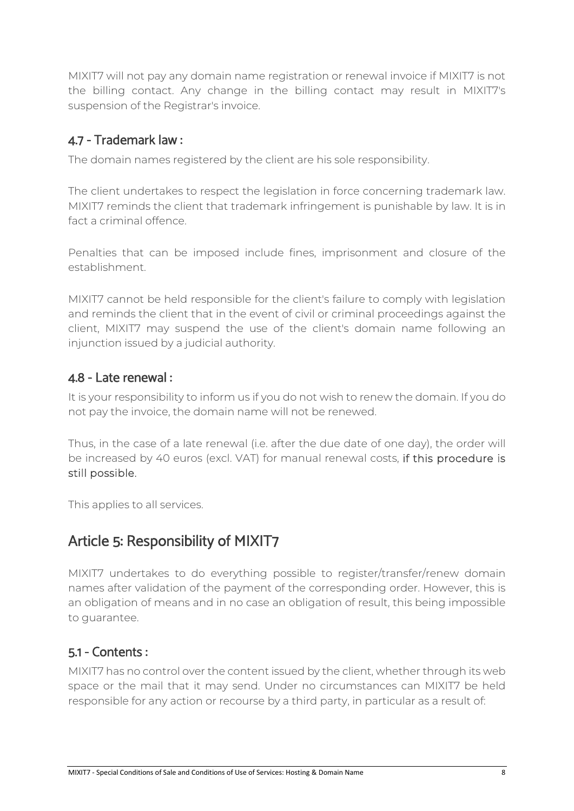MIXIT7 will not pay any domain name registration or renewal invoice if MIXIT7 is not the billing contact. Any change in the billing contact may result in MIXIT7's suspension of the Registrar's invoice.

#### 4.7 - Trademark law :

The domain names registered by the client are his sole responsibility.

The client undertakes to respect the legislation in force concerning trademark law. MIXIT7 reminds the client that trademark infringement is punishable by law. It is in fact a criminal offence.

Penalties that can be imposed include fines, imprisonment and closure of the establishment.

MIXIT7 cannot be held responsible for the client's failure to comply with legislation and reminds the client that in the event of civil or criminal proceedings against the client, MIXIT7 may suspend the use of the client's domain name following an injunction issued by a judicial authority.

#### 4.8 - Late renewal :

It is your responsibility to inform us if you do not wish to renew the domain. If you do not pay the invoice, the domain name will not be renewed.

Thus, in the case of a late renewal (i.e. after the due date of one day), the order will be increased by 40 euros (excl. VAT) for manual renewal costs, if this procedure is still possible.

This applies to all services.

# Article 5: Responsibility of MIXIT7

MIXIT7 undertakes to do everything possible to register/transfer/renew domain names after validation of the payment of the corresponding order. However, this is an obligation of means and in no case an obligation of result, this being impossible to quarantee.

#### 5.1 - Contents :

MIXIT7 has no control over the content issued by the client, whether through its web space or the mail that it may send. Under no circumstances can MIXIT7 be held responsible for any action or recourse by a third party, in particular as a result of: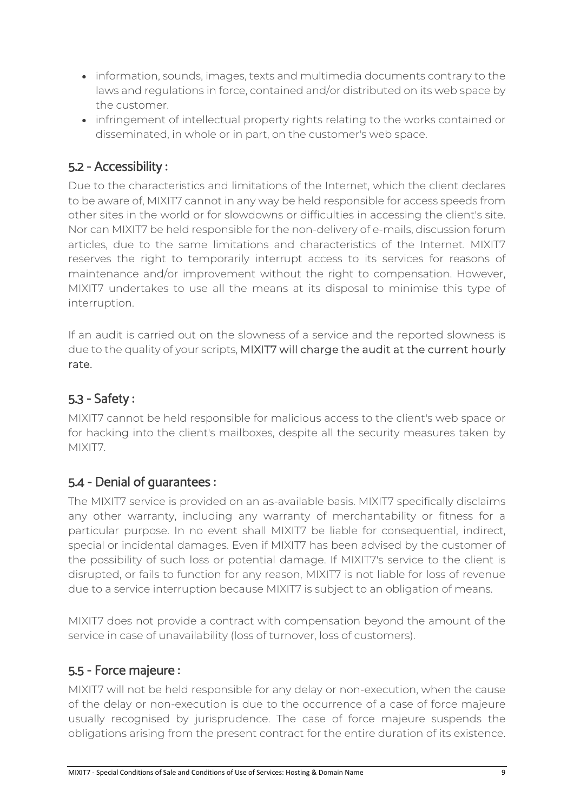- information, sounds, images, texts and multimedia documents contrary to the laws and regulations in force, contained and/or distributed on its web space by the customer.
- infringement of intellectual property rights relating to the works contained or disseminated, in whole or in part, on the customer's web space.

#### 5.2 - Accessibility :

Due to the characteristics and limitations of the Internet, which the client declares to be aware of, MIXIT7 cannot in any way be held responsible for access speeds from other sites in the world or for slowdowns or difficulties in accessing the client's site. Nor can MIXIT7 be held responsible for the non-delivery of e-mails, discussion forum articles, due to the same limitations and characteristics of the Internet. MIXIT7 reserves the right to temporarily interrupt access to its services for reasons of maintenance and/or improvement without the right to compensation. However, MIXIT7 undertakes to use all the means at its disposal to minimise this type of interruption.

If an audit is carried out on the slowness of a service and the reported slowness is due to the quality of your scripts, MIXIT7 will charge the audit at the current hourly rate.

#### 5.3 - Safety :

MIXIT7 cannot be held responsible for malicious access to the client's web space or for hacking into the client's mailboxes, despite all the security measures taken by MIXIT7.

#### 5.4 - Denial of guarantees :

The MIXIT7 service is provided on an as-available basis. MIXIT7 specifically disclaims any other warranty, including any warranty of merchantability or fitness for a particular purpose. In no event shall MIXIT7 be liable for consequential, indirect, special or incidental damages. Even if MIXIT7 has been advised by the customer of the possibility of such loss or potential damage. If MIXIT7's service to the client is disrupted, or fails to function for any reason, MIXIT7 is not liable for loss of revenue due to a service interruption because MIXIT7 is subject to an obligation of means.

MIXIT7 does not provide a contract with compensation beyond the amount of the service in case of unavailability (loss of turnover, loss of customers).

#### 5.5 - Force majeure :

MIXIT7 will not be held responsible for any delay or non-execution, when the cause of the delay or non-execution is due to the occurrence of a case of force majeure usually recognised by jurisprudence. The case of force majeure suspends the obligations arising from the present contract for the entire duration of its existence.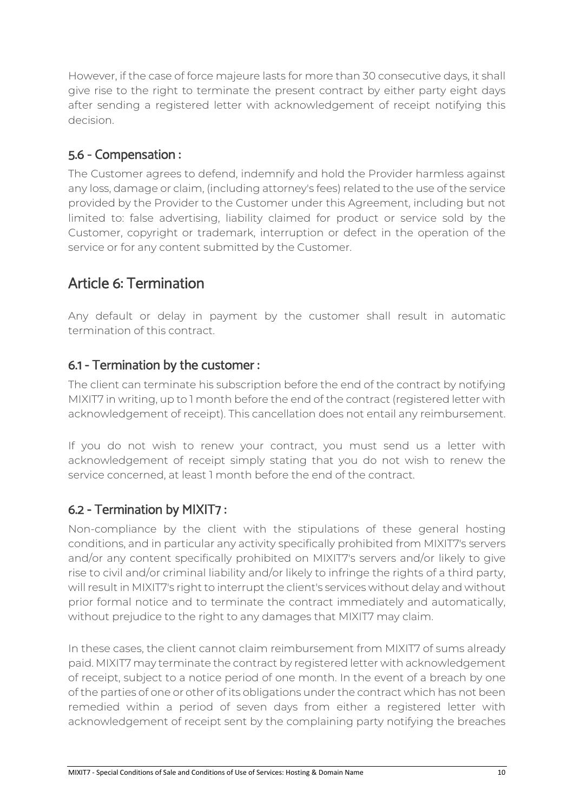However, if the case of force majeure lasts for more than 30 consecutive days, it shall give rise to the right to terminate the present contract by either party eight days after sending a registered letter with acknowledgement of receipt notifying this decision.

#### 5.6 - Compensation :

The Customer agrees to defend, indemnify and hold the Provider harmless against any loss, damage or claim, (including attorney's fees) related to the use of the service provided by the Provider to the Customer under this Agreement, including but not limited to: false advertising, liability claimed for product or service sold by the Customer, copyright or trademark, interruption or defect in the operation of the service or for any content submitted by the Customer.

# Article 6: Termination

Any default or delay in payment by the customer shall result in automatic termination of this contract.

#### 6.1 - Termination by the customer :

The client can terminate his subscription before the end of the contract by notifying MIXIT7 in writing, up to 1 month before the end of the contract (registered letter with acknowledgement of receipt). This cancellation does not entail any reimbursement.

If you do not wish to renew your contract, you must send us a letter with acknowledgement of receipt simply stating that you do not wish to renew the service concerned, at least 1 month before the end of the contract.

#### 6.2 - Termination by MIXIT7 :

Non-compliance by the client with the stipulations of these general hosting conditions, and in particular any activity specifically prohibited from MIXIT7's servers and/or any content specifically prohibited on MIXIT7's servers and/or likely to give rise to civil and/or criminal liability and/or likely to infringe the rights of a third party, will result in MIXIT7's right to interrupt the client's services without delay and without prior formal notice and to terminate the contract immediately and automatically, without prejudice to the right to any damages that MIXIT7 may claim.

In these cases, the client cannot claim reimbursement from MIXIT7 of sums already paid. MIXIT7 may terminate the contract by registered letter with acknowledgement of receipt, subject to a notice period of one month. In the event of a breach by one of the parties of one or other of its obligations under the contract which has not been remedied within a period of seven days from either a registered letter with acknowledgement of receipt sent by the complaining party notifying the breaches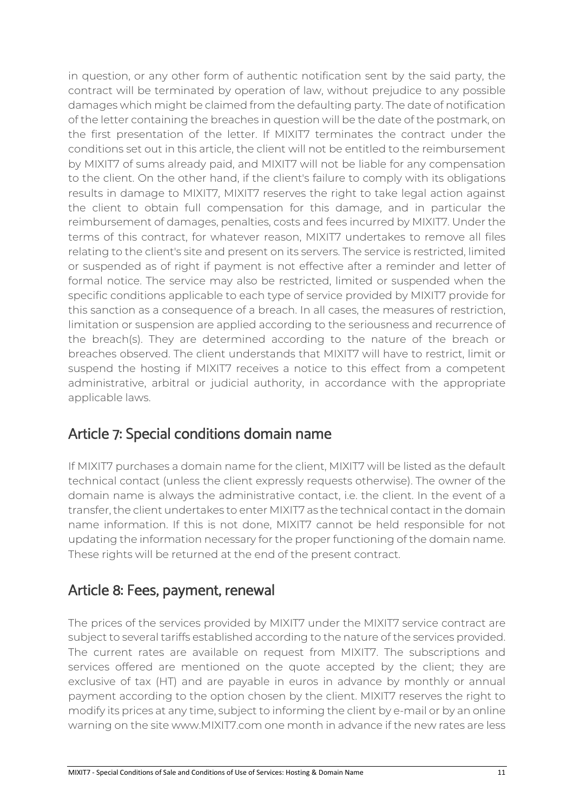in question, or any other form of authentic notification sent by the said party, the contract will be terminated by operation of law, without prejudice to any possible damages which might be claimed from the defaulting party. The date of notification of the letter containing the breaches in question will be the date of the postmark, on the first presentation of the letter. If MIXIT7 terminates the contract under the conditions set out in this article, the client will not be entitled to the reimbursement by MIXIT7 of sums already paid, and MIXIT7 will not be liable for any compensation to the client. On the other hand, if the client's failure to comply with its obligations results in damage to MIXIT7, MIXIT7 reserves the right to take legal action against the client to obtain full compensation for this damage, and in particular the reimbursement of damages, penalties, costs and fees incurred by MIXIT7. Under the terms of this contract, for whatever reason, MIXIT7 undertakes to remove all files relating to the client's site and present on its servers. The service is restricted, limited or suspended as of right if payment is not effective after a reminder and letter of formal notice. The service may also be restricted, limited or suspended when the specific conditions applicable to each type of service provided by MIXIT7 provide for this sanction as a consequence of a breach. In all cases, the measures of restriction, limitation or suspension are applied according to the seriousness and recurrence of the breach(s). They are determined according to the nature of the breach or breaches observed. The client understands that MIXIT7 will have to restrict, limit or suspend the hosting if MIXIT7 receives a notice to this effect from a competent administrative, arbitral or judicial authority, in accordance with the appropriate applicable laws.

# Article 7: Special conditions domain name

If MIXIT7 purchases a domain name for the client, MIXIT7 will be listed as the default technical contact (unless the client expressly requests otherwise). The owner of the domain name is always the administrative contact, i.e. the client. In the event of a transfer, the client undertakes to enter MIXIT7 as the technical contact in the domain name information. If this is not done, MIXIT7 cannot be held responsible for not updating the information necessary for the proper functioning of the domain name. These rights will be returned at the end of the present contract.

# Article 8: Fees, payment, renewal

The prices of the services provided by MIXIT7 under the MIXIT7 service contract are subject to several tariffs established according to the nature of the services provided. The current rates are available on request from MIXIT7. The subscriptions and services offered are mentioned on the quote accepted by the client; they are exclusive of tax (HT) and are payable in euros in advance by monthly or annual payment according to the option chosen by the client. MIXIT7 reserves the right to modify its prices at any time, subject to informing the client by e-mail or by an online warning on the site www.MIXIT7.com one month in advance if the new rates are less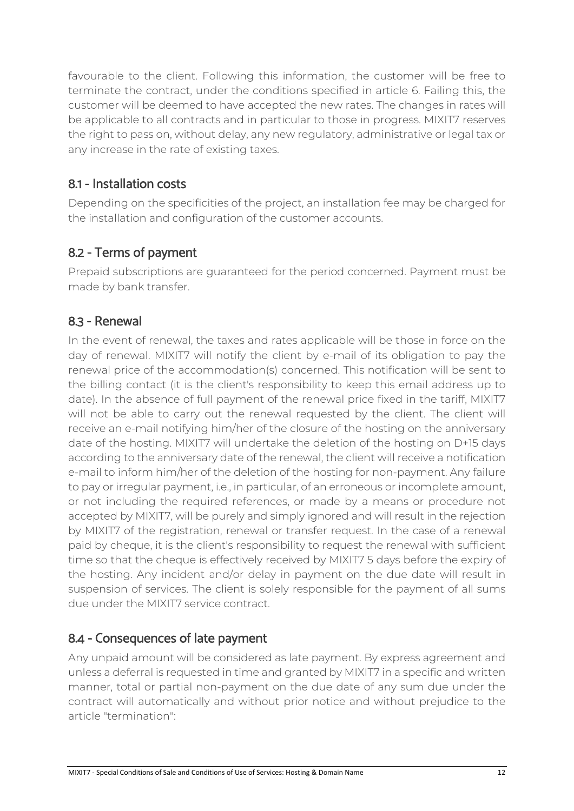favourable to the client. Following this information, the customer will be free to terminate the contract, under the conditions specified in article 6. Failing this, the customer will be deemed to have accepted the new rates. The changes in rates will be applicable to all contracts and in particular to those in progress. MIXIT7 reserves the right to pass on, without delay, any new regulatory, administrative or legal tax or any increase in the rate of existing taxes.

#### 8.1 - Installation costs

Depending on the specificities of the project, an installation fee may be charged for the installation and configuration of the customer accounts.

#### 8.2 - Terms of payment

Prepaid subscriptions are guaranteed for the period concerned. Payment must be made by bank transfer.

#### 8.3 - Renewal

In the event of renewal, the taxes and rates applicable will be those in force on the day of renewal. MIXIT7 will notify the client by e-mail of its obligation to pay the renewal price of the accommodation(s) concerned. This notification will be sent to the billing contact (it is the client's responsibility to keep this email address up to date). In the absence of full payment of the renewal price fixed in the tariff, MIXIT7 will not be able to carry out the renewal requested by the client. The client will receive an e-mail notifying him/her of the closure of the hosting on the anniversary date of the hosting. MIXIT7 will undertake the deletion of the hosting on D+15 days according to the anniversary date of the renewal, the client will receive a notification e-mail to inform him/her of the deletion of the hosting for non-payment. Any failure to pay or irregular payment, i.e., in particular, of an erroneous or incomplete amount, or not including the required references, or made by a means or procedure not accepted by MIXIT7, will be purely and simply ignored and will result in the rejection by MIXIT7 of the registration, renewal or transfer request. In the case of a renewal paid by cheque, it is the client's responsibility to request the renewal with sufficient time so that the cheque is effectively received by MIXIT7 5 days before the expiry of the hosting. Any incident and/or delay in payment on the due date will result in suspension of services. The client is solely responsible for the payment of all sums due under the MIXIT7 service contract.

#### 8.4 - Consequences of late payment

Any unpaid amount will be considered as late payment. By express agreement and unless a deferral is requested in time and granted by MIXIT7 in a specific and written manner, total or partial non-payment on the due date of any sum due under the contract will automatically and without prior notice and without prejudice to the article "termination":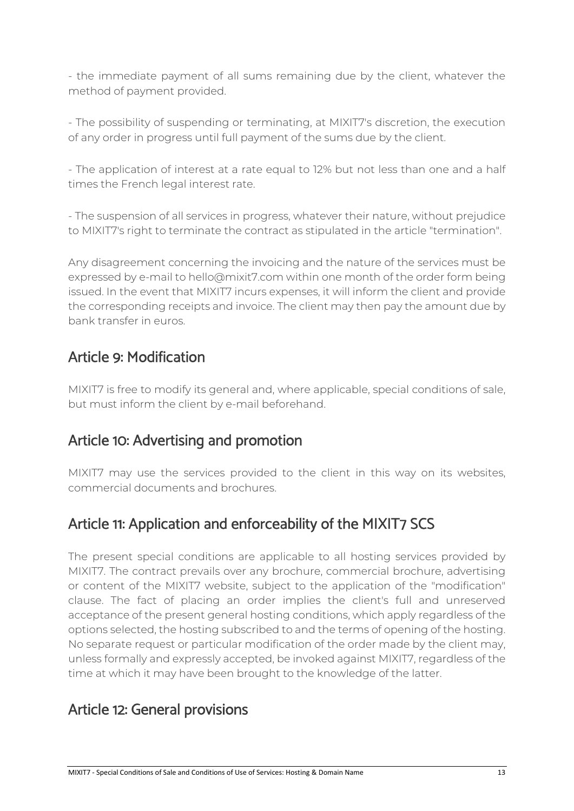- the immediate payment of all sums remaining due by the client, whatever the method of payment provided.

- The possibility of suspending or terminating, at MIXIT7's discretion, the execution of any order in progress until full payment of the sums due by the client.

- The application of interest at a rate equal to 12% but not less than one and a half times the French legal interest rate.

- The suspension of all services in progress, whatever their nature, without prejudice to MIXIT7's right to terminate the contract as stipulated in the article "termination".

Any disagreement concerning the invoicing and the nature of the services must be expressed by e-mail to hello@mixit7.com within one month of the order form being issued. In the event that MIXIT7 incurs expenses, it will inform the client and provide the corresponding receipts and invoice. The client may then pay the amount due by bank transfer in euros.

### Article 9: Modification

MIXIT7 is free to modify its general and, where applicable, special conditions of sale, but must inform the client by e-mail beforehand.

# Article 10: Advertising and promotion

MIXIT7 may use the services provided to the client in this way on its websites, commercial documents and brochures.

# Article 11: Application and enforceability of the MIXIT7 SCS

The present special conditions are applicable to all hosting services provided by MIXIT7. The contract prevails over any brochure, commercial brochure, advertising or content of the MIXIT7 website, subject to the application of the "modification" clause. The fact of placing an order implies the client's full and unreserved acceptance of the present general hosting conditions, which apply regardless of the options selected, the hosting subscribed to and the terms of opening of the hosting. No separate request or particular modification of the order made by the client may, unless formally and expressly accepted, be invoked against MIXIT7, regardless of the time at which it may have been brought to the knowledge of the latter.

# Article 12: General provisions